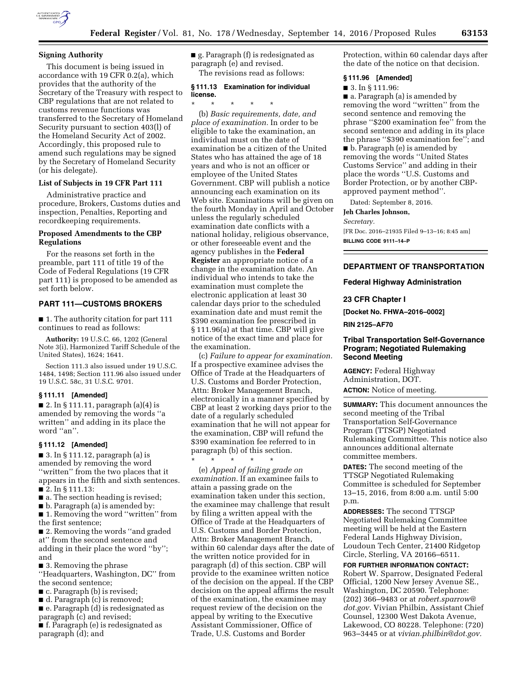

### **Signing Authority**

This document is being issued in accordance with 19 CFR 0.2(a), which provides that the authority of the Secretary of the Treasury with respect to CBP regulations that are not related to customs revenue functions was transferred to the Secretary of Homeland Security pursuant to section 403(l) of the Homeland Security Act of 2002. Accordingly, this proposed rule to amend such regulations may be signed by the Secretary of Homeland Security (or his delegate).

# **List of Subjects in 19 CFR Part 111**

Administrative practice and procedure, Brokers, Customs duties and inspection, Penalties, Reporting and recordkeeping requirements.

## **Proposed Amendments to the CBP Regulations**

For the reasons set forth in the preamble, part 111 of title 19 of the Code of Federal Regulations (19 CFR part 111) is proposed to be amended as set forth below.

## **PART 111—CUSTOMS BROKERS**

■ 1. The authority citation for part 111 continues to read as follows:

**Authority:** 19 U.S.C. 66, 1202 (General Note 3(i), Harmonized Tariff Schedule of the United States), 1624; 1641.

Section 111.3 also issued under 19 U.S.C. 1484, 1498; Section 111.96 also issued under 19 U.S.C. 58c, 31 U.S.C. 9701.

## **§ 111.11 [Amended]**

 $\blacksquare$  2. In § 111.11, paragraph (a)(4) is amended by removing the words ''a written'' and adding in its place the word ''an''.

#### **§ 111.12 [Amended]**

 $\blacksquare$  3. In § 111.12, paragraph (a) is amended by removing the word ''written'' from the two places that it appears in the fifth and sixth sentences. ■ 2. In § 111.13:

- a. The section heading is revised;
- b. Paragraph (a) is amended by:

■ 1. Removing the word "written" from the first sentence;

■ 2. Removing the words "and graded at'' from the second sentence and adding in their place the word ''by''; and

■ 3. Removing the phrase

''Headquarters, Washington, DC'' from the second sentence;

- c. Paragraph (b) is revised;
- d. Paragraph (c) is removed;

■ e. Paragraph (d) is redesignated as paragraph (c) and revised; ■ f. Paragraph (e) is redesignated as

paragraph (d); and

■ g. Paragraph (f) is redesignated as paragraph (e) and revised. The revisions read as follows:

# **§ 111.13 Examination for individual license.**

\* \* \* \* \*

(b) *Basic requirements, date, and place of examination.* In order to be eligible to take the examination, an individual must on the date of examination be a citizen of the United States who has attained the age of 18 years and who is not an officer or employee of the United States Government. CBP will publish a notice announcing each examination on its Web site. Examinations will be given on the fourth Monday in April and October unless the regularly scheduled examination date conflicts with a national holiday, religious observance, or other foreseeable event and the agency publishes in the **Federal Register** an appropriate notice of a change in the examination date. An individual who intends to take the examination must complete the electronic application at least 30 calendar days prior to the scheduled examination date and must remit the \$390 examination fee prescribed in § 111.96(a) at that time. CBP will give notice of the exact time and place for the examination.

(c) *Failure to appear for examination.*  If a prospective examinee advises the Office of Trade at the Headquarters of U.S. Customs and Border Protection, Attn: Broker Management Branch, electronically in a manner specified by CBP at least 2 working days prior to the date of a regularly scheduled examination that he will not appear for the examination, CBP will refund the \$390 examination fee referred to in paragraph (b) of this section.

\* \* \* \* \* (e) *Appeal of failing grade on examination.* If an examinee fails to attain a passing grade on the examination taken under this section, the examinee may challenge that result by filing a written appeal with the Office of Trade at the Headquarters of U.S. Customs and Border Protection, Attn: Broker Management Branch, within 60 calendar days after the date of the written notice provided for in paragraph (d) of this section. CBP will provide to the examinee written notice of the decision on the appeal. If the CBP decision on the appeal affirms the result of the examination, the examinee may request review of the decision on the appeal by writing to the Executive Assistant Commissioner, Office of Trade, U.S. Customs and Border

Protection, within 60 calendar days after the date of the notice on that decision.

#### **§ 111.96 [Amended]**

■ 3. In § 111.96:

■ a. Paragraph (a) is amended by removing the word ''written'' from the second sentence and removing the phrase ''\$200 examination fee'' from the second sentence and adding in its place the phrase ''\$390 examination fee''; and

■ b. Paragraph (e) is amended by removing the words ''United States Customs Service'' and adding in their place the words ''U.S. Customs and Border Protection, or by another CBPapproved payment method''.

Dated: September 8, 2016.

**Jeh Charles Johnson,** 

#### *Secretary.*

[FR Doc. 2016–21935 Filed 9–13–16; 8:45 am] **BILLING CODE 9111–14–P** 

# **DEPARTMENT OF TRANSPORTATION**

#### **Federal Highway Administration**

### **23 CFR Chapter I**

**[Docket No. FHWA–2016–0002] RIN 2125–AF70** 

# **Tribal Transportation Self-Governance Program; Negotiated Rulemaking Second Meeting**

**AGENCY:** Federal Highway Administration, DOT. **ACTION:** Notice of meeting.

**SUMMARY:** This document announces the second meeting of the Tribal Transportation Self-Governance Program (TTSGP) Negotiated Rulemaking Committee. This notice also announces additional alternate committee members.

**DATES:** The second meeting of the TTSGP Negotiated Rulemaking Committee is scheduled for September 13–15, 2016, from 8:00 a.m. until 5:00 p.m.

**ADDRESSES:** The second TTSGP Negotiated Rulemaking Committee meeting will be held at the Eastern Federal Lands Highway Division, Loudoun Tech Center, 21400 Ridgetop Circle, Sterling, VA 20166–6511.

**FOR FURTHER INFORMATION CONTACT:**  Robert W. Sparrow, Designated Federal Official, 1200 New Jersey Avenue SE., Washington, DC 20590. Telephone: (202) 366–9483 or at *[robert.sparrow@](mailto:robert.sparrow@dot.gov) [dot.gov.](mailto:robert.sparrow@dot.gov)* Vivian Philbin, Assistant Chief Counsel, 12300 West Dakota Avenue, Lakewood, CO 80228. Telephone: (720) 963–3445 or at *[vivian.philbin@dot.gov.](mailto:vivian.philbin@dot.gov)*